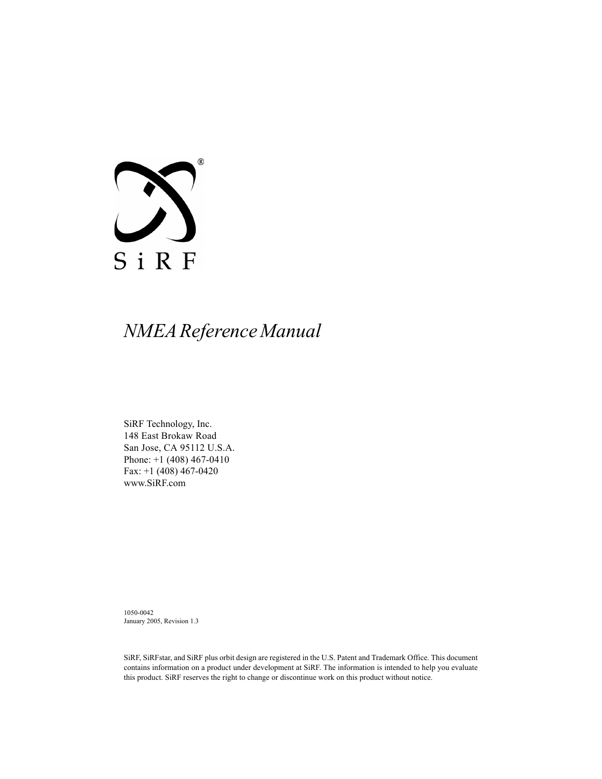

# *NMEA Reference Manual*

SiRF Technology, Inc. 148 East Brokaw Road San Jose, CA 95112 U.S.A. Phone: +1 (408) 467-0410 Fax: +1 (408) 467-0420 www.SiRF.com

1050-0042 January 2005, Revision 1.3

SiRF, SiRFstar, and SiRF plus orbit design are registered in the U.S. Patent and Trademark Office. This document contains information on a product under development at SiRF. The information is intended to help you evaluate this product. SiRF reserves the right to change or discontinue work on this product without notice.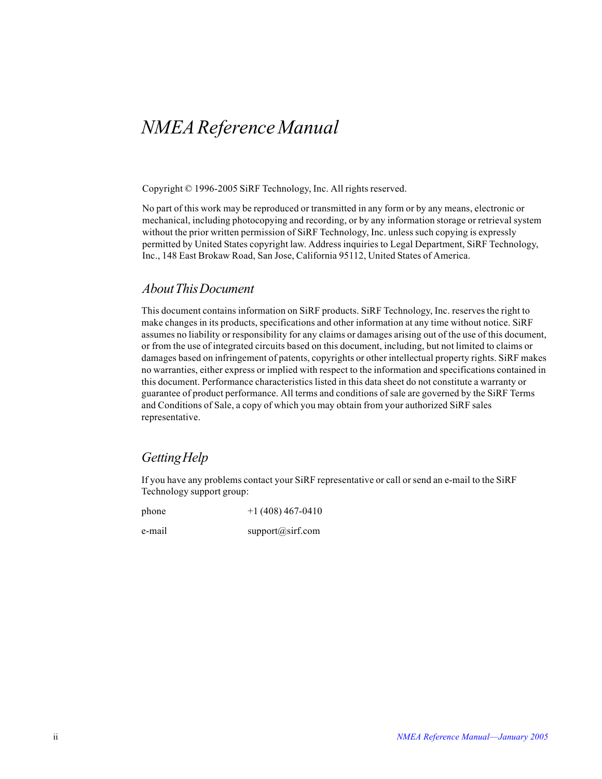# *NMEA Reference Manual*

Copyright © 1996-2005 SiRF Technology, Inc. All rights reserved.

No part of this work may be reproduced or transmitted in any form or by any means, electronic or mechanical, including photocopying and recording, or by any information storage or retrieval system without the prior written permission of SiRF Technology, Inc. unless such copying is expressly permitted by United States copyright law. Address inquiries to Legal Department, SiRF Technology, Inc., 148 East Brokaw Road, San Jose, California 95112, United States of America.

#### *About This Document*

This document contains information on SiRF products. SiRF Technology, Inc. reserves the right to make changes in its products, specifications and other information at any time without notice. SiRF assumes no liability or responsibility for any claims or damages arising out of the use of this document, or from the use of integrated circuits based on this document, including, but not limited to claims or damages based on infringement of patents, copyrights or other intellectual property rights. SiRF makes no warranties, either express or implied with respect to the information and specifications contained in this document. Performance characteristics listed in this data sheet do not constitute a warranty or guarantee of product performance. All terms and conditions of sale are governed by the SiRF Terms and Conditions of Sale, a copy of which you may obtain from your authorized SiRF sales representative.

#### *Getting Help*

If you have any problems contact your SiRF representative or call or send an e-mail to the SiRF Technology support group:

phone  $+1 (408) 467-0410$ 

e-mail support@sirf.com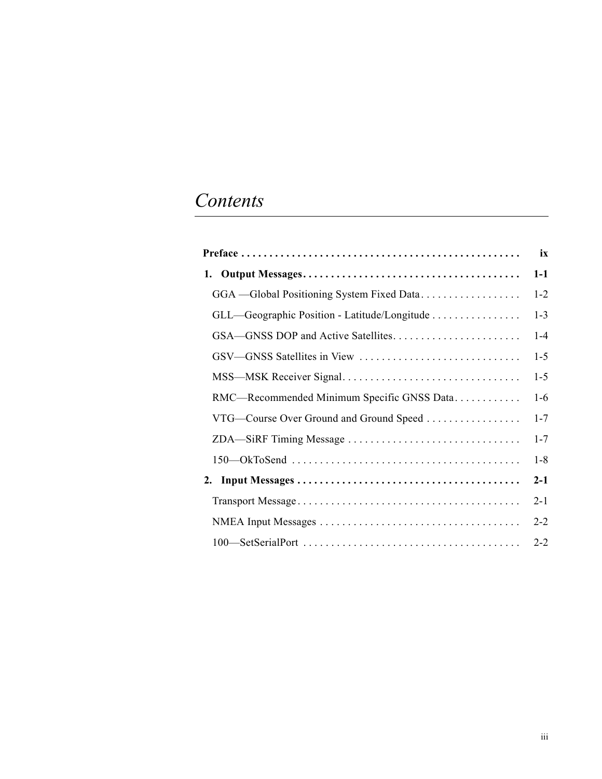# *Contents*

|                                              | ix      |
|----------------------------------------------|---------|
|                                              | $1-1$   |
| GGA - Global Positioning System Fixed Data   | $1 - 2$ |
| GLL-Geographic Position - Latitude/Longitude | $1 - 3$ |
|                                              | $1 - 4$ |
|                                              | $1 - 5$ |
|                                              | $1 - 5$ |
| RMC-Recommended Minimum Specific GNSS Data   | $1-6$   |
| VTG-Course Over Ground and Ground Speed      | $1 - 7$ |
| ZDA-SiRF Timing Message                      | $1 - 7$ |
|                                              | $1 - 8$ |
|                                              | $2-1$   |
|                                              | $2 - 1$ |
|                                              | $2 - 2$ |
|                                              | $2 - 2$ |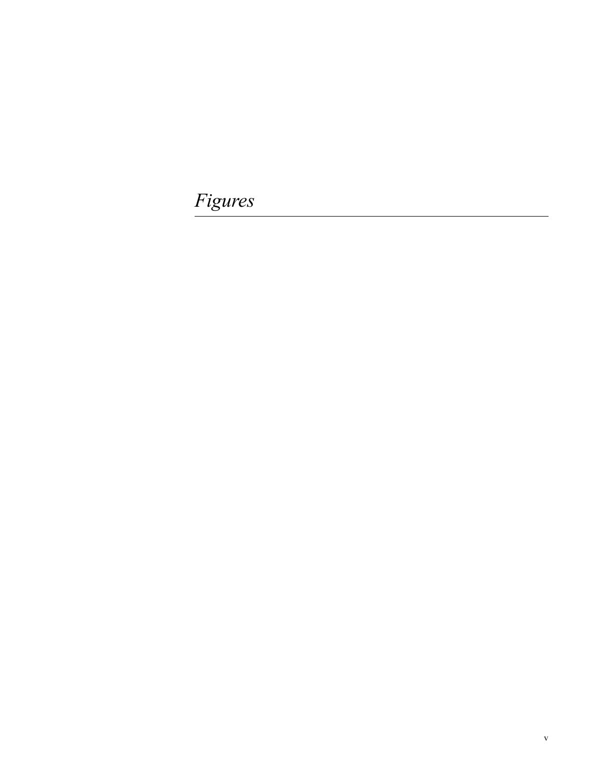*Figures*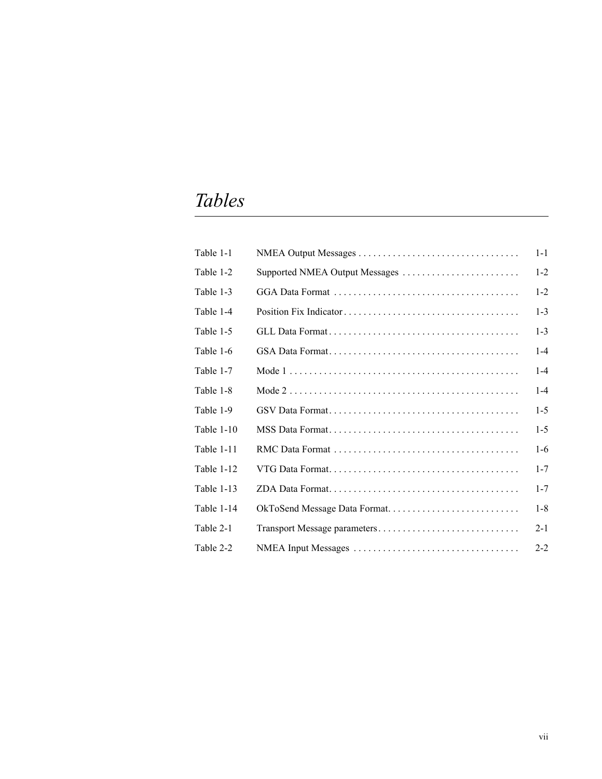# *Tables*

| Table 1-1  |                                | $1 - 1$ |
|------------|--------------------------------|---------|
| Table 1-2  | Supported NMEA Output Messages | $1 - 2$ |
| Table 1-3  |                                | $1-2$   |
| Table 1-4  |                                | $1 - 3$ |
| Table 1-5  |                                | $1 - 3$ |
| Table 1-6  |                                | $1 - 4$ |
| Table 1-7  |                                | $1 - 4$ |
| Table 1-8  |                                | $1 - 4$ |
| Table 1-9  |                                | $1 - 5$ |
| Table 1-10 |                                | $1-5$   |
| Table 1-11 |                                | $1-6$   |
| Table 1-12 |                                | $1 - 7$ |
| Table 1-13 |                                | $1 - 7$ |
| Table 1-14 | OkToSend Message Data Format   | $1 - 8$ |
| Table 2-1  |                                | $2 - 1$ |
| Table 2-2  |                                | $2 - 2$ |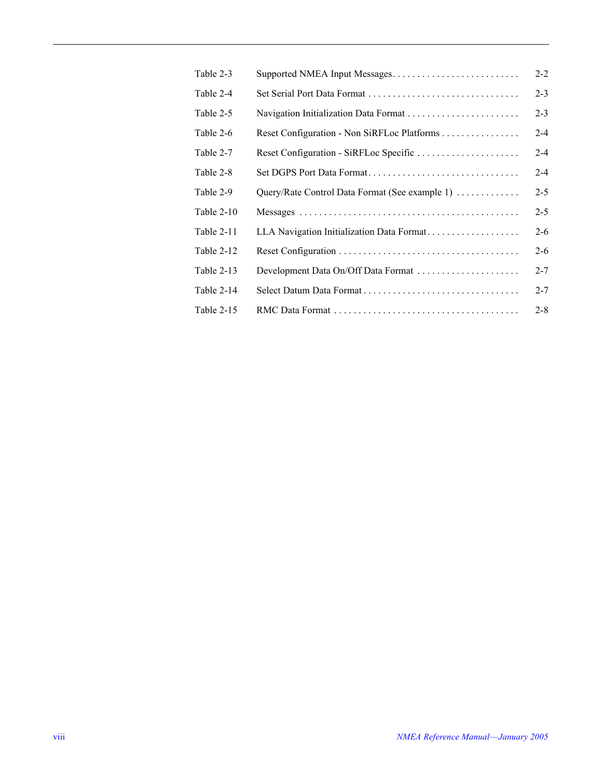| Table 2-3  |                                                | $2 - 2$ |
|------------|------------------------------------------------|---------|
| Table 2-4  |                                                | $2 - 3$ |
| Table 2-5  |                                                | $2 - 3$ |
| Table 2-6  | Reset Configuration - Non SiRFLoc Platforms    | $2 - 4$ |
| Table 2-7  | Reset Configuration - SiRFLoc Specific         | $2 - 4$ |
| Table 2-8  |                                                | $2 - 4$ |
| Table 2-9  | Query/Rate Control Data Format (See example 1) | $2 - 5$ |
| Table 2-10 |                                                | $2 - 5$ |
| Table 2-11 | LLA Navigation Initialization Data Format      | $2 - 6$ |
| Table 2-12 |                                                | $2 - 6$ |
| Table 2-13 | Development Data On/Off Data Format            | $2 - 7$ |
| Table 2-14 |                                                | $2 - 7$ |
| Table 2-15 |                                                | $2 - 8$ |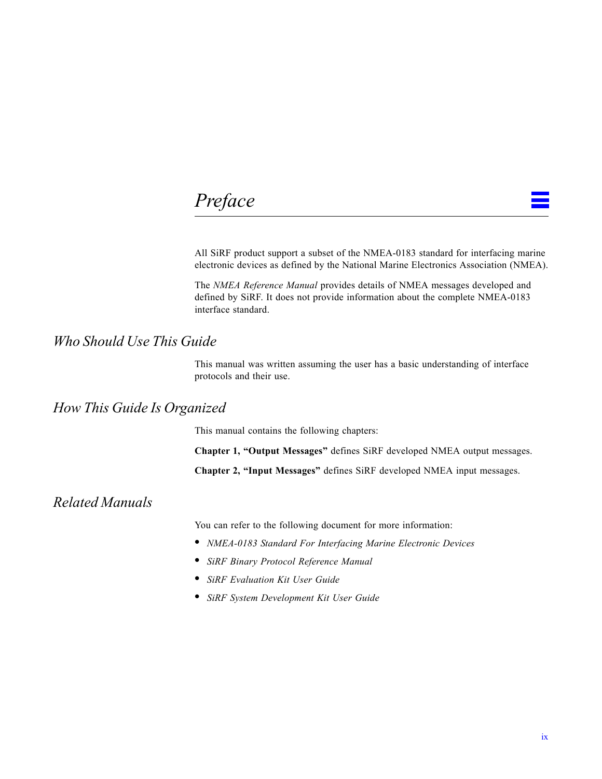# <span id="page-8-0"></span>*Preface*

All SiRF product support a subset of the NMEA-0183 standard for interfacing marine electronic devices as defined by the National Marine Electronics Association (NMEA).

The *NMEA Reference Manual* provides details of NMEA messages developed and defined by SiRF. It does not provide information about the complete NMEA-0183 interface standard.

### *Who Should Use This Guide*

This manual was written assuming the user has a basic understanding of interface protocols and their use.

### *How This Guide Is Organized*

This manual contains the following chapters:

**Chapter [1, "Output Messages](#page-10-2)"** defines SiRF developed NMEA output messages.

**Chapter [2, "Input Messages"](#page-18-3)** defines SiRF developed NMEA input messages.

### *Related Manuals*

You can refer to the following document for more information:

- **•** *NMEA-0183 Standard For Interfacing Marine Electronic Devices*
- **•** *SiRF Binary Protocol Reference Manual*
- **•** *SiRF Evaluation Kit User Guide*
- **•** *SiRF System Development Kit User Guide*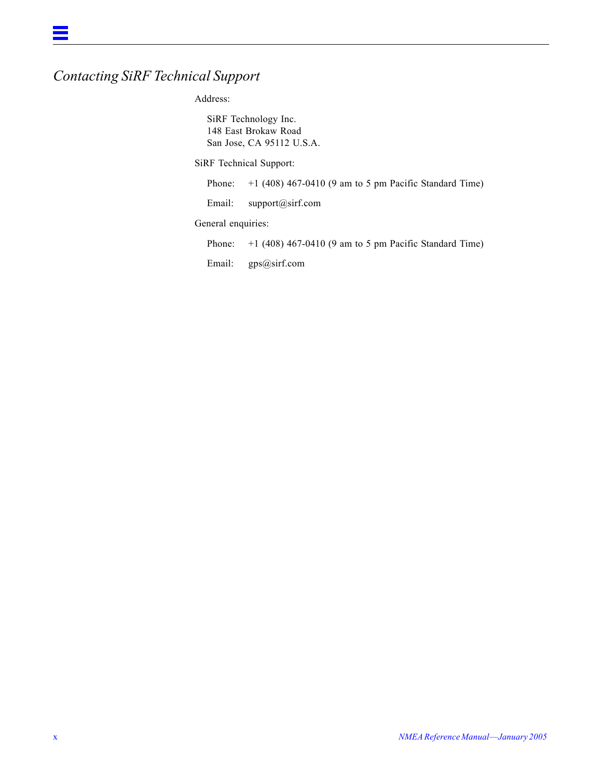# *Contacting SiRF Technical Support*

Address:

SiRF Technology Inc. 148 East Brokaw Road San Jose, CA 95112 U.S.A.

SiRF Technical Support:

Phone:  $+1$  (408) 467-0410 (9 am to 5 pm Pacific Standard Time)

Email: support@sirf.com

General enquiries:

Phone:  $+1$  (408) 467-0410 (9 am to 5 pm Pacific Standard Time)

Email: gps@sirf.com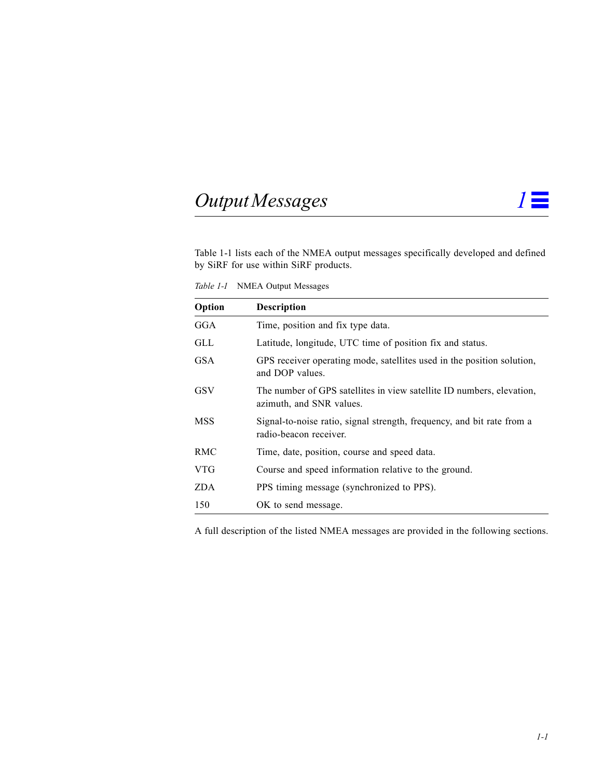# <span id="page-10-0"></span>*Output Messages 1*

<span id="page-10-2"></span>

[Table](#page-10-1) 1-1 lists each of the NMEA output messages specifically developed and defined by SiRF for use within SiRF products.

<span id="page-10-1"></span>*Table 1-1* NMEA Output Messages

| Option     | <b>Description</b>                                                                                |
|------------|---------------------------------------------------------------------------------------------------|
| GGA        | Time, position and fix type data.                                                                 |
| GLL        | Latitude, longitude, UTC time of position fix and status.                                         |
| <b>GSA</b> | GPS receiver operating mode, satellites used in the position solution,<br>and DOP values.         |
| GSV        | The number of GPS satellites in view satellite ID numbers, elevation,<br>azimuth, and SNR values. |
| <b>MSS</b> | Signal-to-noise ratio, signal strength, frequency, and bit rate from a<br>radio-beacon receiver.  |
| RMC        | Time, date, position, course and speed data.                                                      |
| <b>VTG</b> | Course and speed information relative to the ground.                                              |
| <b>ZDA</b> | PPS timing message (synchronized to PPS).                                                         |
| 150        | OK to send message.                                                                               |

A full description of the listed NMEA messages are provided in the following sections.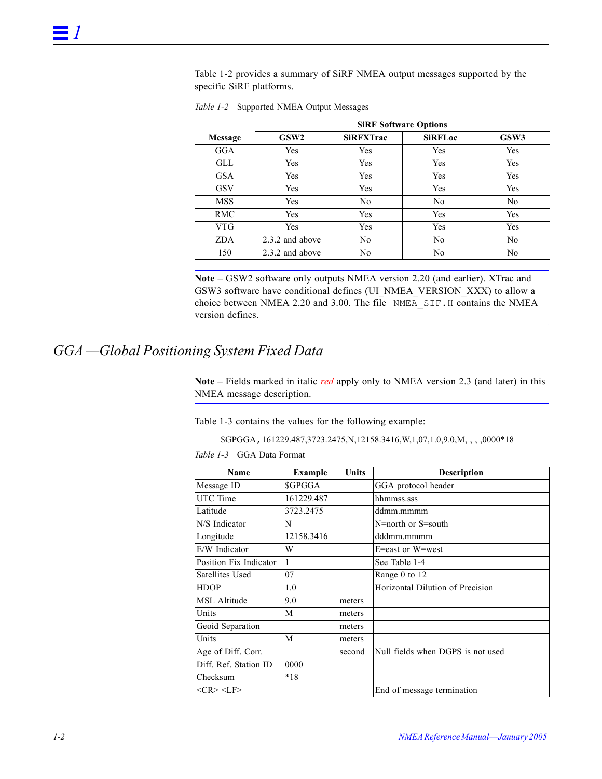[Table](#page-11-1) 1-2 provides a summary of SiRF NMEA output messages supported by the specific SiRF platforms.

|                | <b>SiRF Software Options</b> |                  |                |                |  |  |
|----------------|------------------------------|------------------|----------------|----------------|--|--|
| <b>Message</b> | GSW <sub>2</sub>             | <b>SiRFXTrac</b> | <b>SiRFLoc</b> | GSW3           |  |  |
| GGA            | Yes                          | Yes              | Yes            | Yes            |  |  |
| GLL            | Yes                          | Yes              | Yes            | Yes            |  |  |
| <b>GSA</b>     | Yes                          | Yes              | Yes            | Yes            |  |  |
| <b>GSV</b>     | Yes                          | Yes              | Yes            | Yes            |  |  |
| <b>MSS</b>     | Yes                          | No               | N <sub>0</sub> | N <sub>0</sub> |  |  |
| <b>RMC</b>     | Yes                          | Yes              | Yes            | Yes            |  |  |
| <b>VTG</b>     | Yes                          | Yes              | Yes            | Yes            |  |  |
| <b>ZDA</b>     | 2.3.2 and above              | No               | N <sub>0</sub> | N <sub>0</sub> |  |  |
| 150            | 2.3.2 and above              | No               | N <sub>0</sub> | N <sub>0</sub> |  |  |

<span id="page-11-1"></span>*Table 1-2* Supported NMEA Output Messages

**Note –** GSW2 software only outputs NMEA version 2.20 (and earlier). XTrac and GSW3 software have conditional defines (UI\_NMEA\_VERSION\_XXX) to allow a choice between NMEA 2.20 and 3.00. The file NMEA\_SIF.H contains the NMEA version defines.

# <span id="page-11-2"></span><span id="page-11-0"></span>*GGA —Global Positioning System Fixed Data*

**Note –** Fields marked in italic *red* apply only to NMEA version 2.3 (and later) in this NMEA message description.

[Table](#page-11-2) 1-3 contains the values for the following example:

\$GPGGA,161229.487,3723.2475,N,12158.3416,W,1,07,1.0,9.0,M, , , ,0000\*18

*Table 1-3* GGA Data Format

| Name                   | <b>Example</b> | Units  | <b>Description</b>                |
|------------------------|----------------|--------|-----------------------------------|
| Message ID             | <b>\$GPGGA</b> |        | GGA protocol header               |
| UTC Time               | 161229.487     |        | hhmmss.sss                        |
| Latitude               | 3723.2475      |        | ddmm.mmmm                         |
| N/S Indicator          | N              |        | N=north or S=south                |
| Longitude              | 12158.3416     |        | dddmm.mmmm                        |
| E/W Indicator          | W              |        | E=east or W=west                  |
| Position Fix Indicator |                |        | See Table 1-4                     |
| Satellites Used        | 07             |        | Range 0 to 12                     |
| <b>HDOP</b>            | 1.0            |        | Horizontal Dilution of Precision  |
| MSL Altitude           | 9.0            | meters |                                   |
| Units                  | M              | meters |                                   |
| Geoid Separation       |                | meters |                                   |
| Units                  | M              | meters |                                   |
| Age of Diff. Corr.     |                | second | Null fields when DGPS is not used |
| Diff. Ref. Station ID  | 0000           |        |                                   |
| Checksum               | $*18$          |        |                                   |
| $<$ CR> <lf></lf>      |                |        | End of message termination        |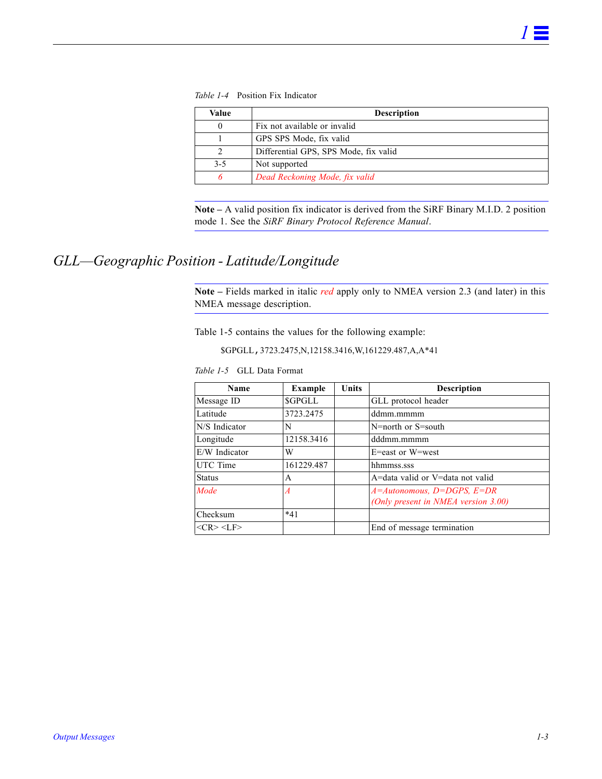*Table 1-4* Position Fix Indicator

<span id="page-12-1"></span>

| Value | <b>Description</b>                    |  |  |  |
|-------|---------------------------------------|--|--|--|
|       | Fix not available or invalid          |  |  |  |
|       | GPS SPS Mode, fix valid               |  |  |  |
|       | Differential GPS, SPS Mode, fix valid |  |  |  |
| $3-5$ | Not supported                         |  |  |  |
|       | Dead Reckoning Mode, fix valid        |  |  |  |

**Note –** A valid position fix indicator is derived from the SiRF Binary M.I.D. 2 position mode 1. See the *SiRF Binary Protocol Reference Manual*.

## <span id="page-12-2"></span><span id="page-12-0"></span>*GLL—Geographic Position - Latitude/Longitude*

**Note –** Fields marked in italic *red* apply only to NMEA version 2.3 (and later) in this NMEA message description.

[Table](#page-12-2) 1-5 contains the values for the following example:

\$GPGLL,3723.2475,N,12158.3416,W,161229.487,A,A\*41

*Table 1-5* GLL Data Format

| Name            | <b>Example</b> | <b>Units</b> | <b>Description</b>                  |
|-----------------|----------------|--------------|-------------------------------------|
| Message ID      | <b>SGPGLL</b>  |              | GLL protocol header                 |
| Latitude        | 3723.2475      |              | ddmm.mmmm                           |
| N/S Indicator   | N              |              | N=north or S=south                  |
| Longitude       | 12158.3416     |              | dddmm.mmmm                          |
| E/W Indicator   | W              |              | E=east or W=west                    |
| UTC Time        | 161229.487     |              | hhmmss.sss                          |
| <b>Status</b>   | A              |              | A=data valid or V=data not valid    |
| Mode            | A              |              | $A=Autonomous, D=DGPS, E=DR$        |
|                 |                |              | (Only present in NMEA version 3.00) |
| Checksum        | $*41$          |              |                                     |
| $<$ CR> $<$ LF> |                |              | End of message termination          |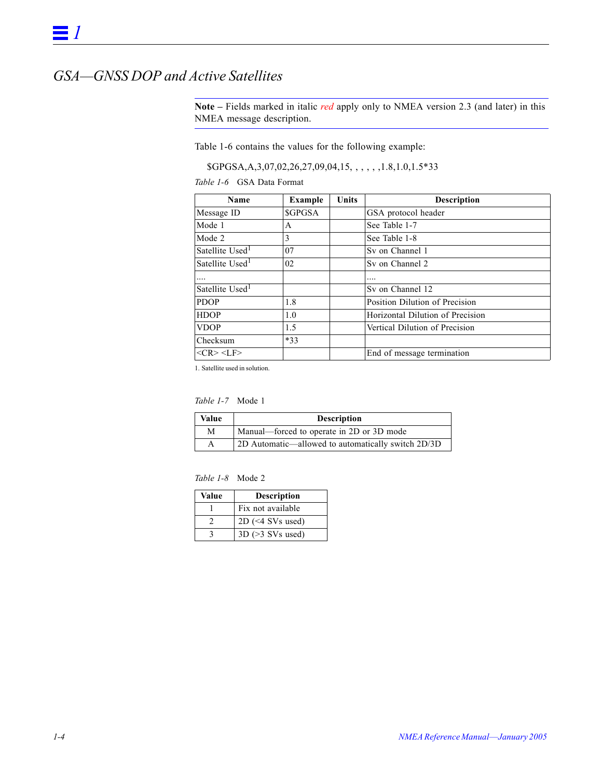## <span id="page-13-1"></span><span id="page-13-0"></span>*GSA—GNSS DOP and Active Satellites*

**Note –** Fields marked in italic *red* apply only to NMEA version 2.3 (and later) in this NMEA message description.

[Table](#page-13-1) 1-6 contains the values for the following example:

\$GPGSA,A,3,07,02,26,27,09,04,15, , , , , ,1.8,1.0,1.5\*33

*Table 1-6* GSA Data Format

| Name                        | <b>Example</b> | <b>Units</b> | <b>Description</b>               |
|-----------------------------|----------------|--------------|----------------------------------|
| Message ID                  | <b>SGPGSA</b>  |              | GSA protocol header              |
| Mode 1                      | A              |              | See Table 1-7                    |
| Mode 2                      | 3              |              | See Table 1-8                    |
| Satellite Used <sup>1</sup> | 07             |              | Sy on Channel 1                  |
| Satellite Used <sup>1</sup> | 02             |              | Sy on Channel 2                  |
| .                           |                |              |                                  |
| Satellite Used <sup>1</sup> |                |              | Sy on Channel 12                 |
| <b>PDOP</b>                 | 1.8            |              | Position Dilution of Precision   |
| <b>HDOP</b>                 | 1.0            |              | Horizontal Dilution of Precision |
| <b>VDOP</b>                 | 1.5            |              | Vertical Dilution of Precision   |
| Checksum                    | $*33$          |              |                                  |
| $<$ CR> $<$ LF>             |                |              | End of message termination       |

1. Satellite used in solution.

#### *Table 1-7* Mode 1

<span id="page-13-2"></span>

| Value | <b>Description</b>                                 |
|-------|----------------------------------------------------|
| М     | Manual—forced to operate in 2D or 3D mode          |
| A     | 2D Automatic—allowed to automatically switch 2D/3D |

<span id="page-13-3"></span>

| Value | <b>Description</b>    |
|-------|-----------------------|
|       | Fix not available     |
|       | $2D \leq 4$ SVs used) |
|       | $3D$ ( $>3$ SVs used) |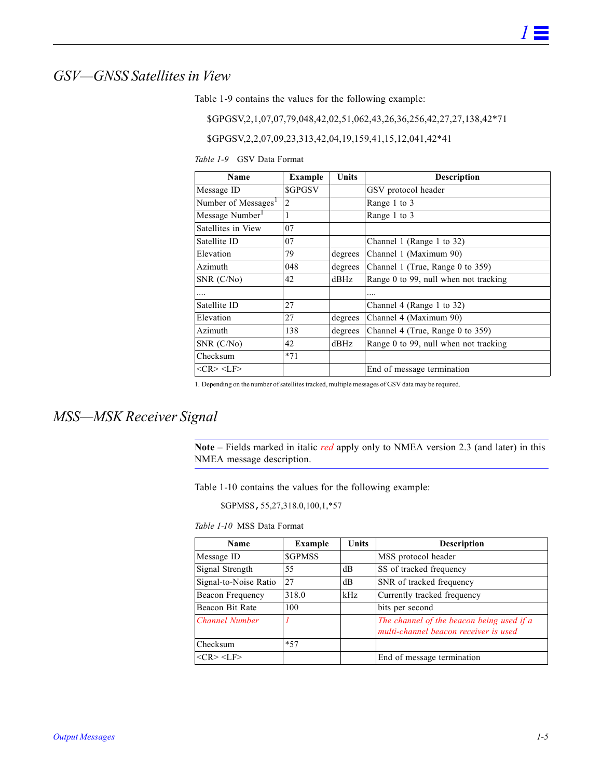### <span id="page-14-2"></span><span id="page-14-0"></span>*GSV—GNSS Satellites in View*

[Table](#page-14-2) 1-9 contains the values for the following example:

\$GPGSV,2,1,07,07,79,048,42,02,51,062,43,26,36,256,42,27,27,138,42\*71

\$GPGSV,2,2,07,09,23,313,42,04,19,159,41,15,12,041,42\*41

*Table 1-9* GSV Data Format

| Name                            | <b>Example</b> | Units   | <b>Description</b>                    |  |
|---------------------------------|----------------|---------|---------------------------------------|--|
| Message ID                      | <b>SGPGSV</b>  |         | GSV protocol header                   |  |
| Number of Messages <sup>1</sup> | 2              |         | Range 1 to 3                          |  |
| Message Number <sup>1</sup>     | 1              |         | Range 1 to 3                          |  |
| Satellites in View              | 07             |         |                                       |  |
| Satellite ID                    | 07             |         | Channel 1 (Range 1 to 32)             |  |
| Elevation                       | 79             | degrees | Channel 1 (Maximum 90)                |  |
| Azimuth                         | 048            | degrees | Channel 1 (True, Range 0 to 359)      |  |
| SNR(C/N <sub>0</sub> )          | 42             | $d$ BHz | Range 0 to 99, null when not tracking |  |
| .                               |                |         | .                                     |  |
| Satellite ID                    | 27             |         | Channel 4 (Range 1 to 32)             |  |
| Elevation                       | 27             | degrees | Channel 4 (Maximum 90)                |  |
| Azimuth                         | 138            | degrees | Channel 4 (True, Range 0 to 359)      |  |
| SNR(C/N <sub>0</sub> )          | 42             | $d$ BHz | Range 0 to 99, null when not tracking |  |
| Checksum                        | $*71$          |         |                                       |  |
| $<$ CR> $<$ LF>                 |                |         | End of message termination            |  |

1. Depending on the number of satellites tracked, multiple messages of GSV data may be required.

### <span id="page-14-3"></span><span id="page-14-1"></span>*MSS—MSK Receiver Signal*

**Note –** Fields marked in italic *red* apply only to NMEA version 2.3 (and later) in this NMEA message description.

[Table](#page-14-3) 1-10 contains the values for the following example:

\$GPMSS,55,27,318.0,100,1,\*57

*Table 1-10* MSS Data Format

| Name                  | <b>Example</b> | Units | <b>Description</b>                                                                 |
|-----------------------|----------------|-------|------------------------------------------------------------------------------------|
| Message ID            | <b>SGPMSS</b>  |       | MSS protocol header                                                                |
| Signal Strength       | 55             | dB    | SS of tracked frequency                                                            |
| Signal-to-Noise Ratio | 27             | dB    | SNR of tracked frequency                                                           |
| Beacon Frequency      | 318.0          | kHz   | Currently tracked frequency                                                        |
| Beacon Bit Rate       | 100            |       | bits per second                                                                    |
| <b>Channel Number</b> |                |       | The channel of the beacon being used if a<br>multi-channel beacon receiver is used |
| Checksum              | $*57$          |       |                                                                                    |
| $<$ CR> $<$ LF>       |                |       | End of message termination                                                         |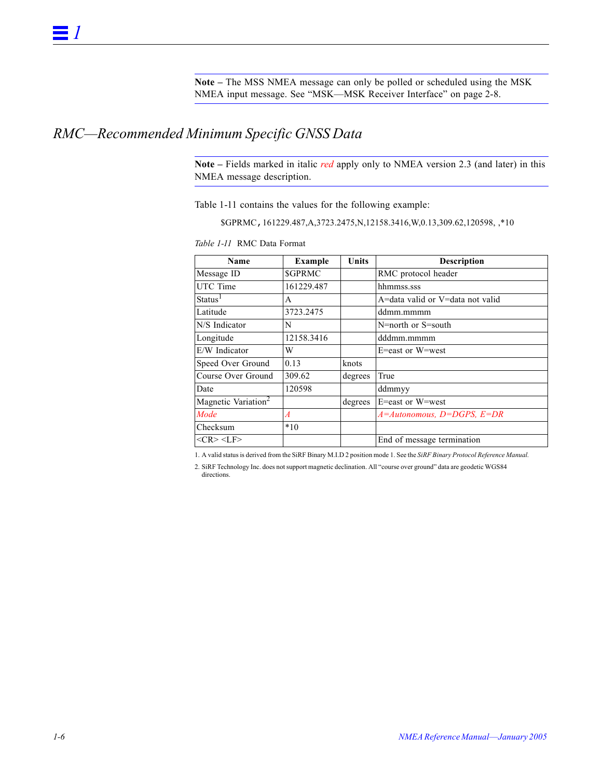**Note –** The MSS NMEA message can only be polled or scheduled using the MSK NMEA input message. See ["MSK—MSK Receiver Interface" on page](#page-25-2) 2-8.

### <span id="page-15-1"></span><span id="page-15-0"></span>*RMC—Recommended Minimum Specific GNSS Data*

**Note –** Fields marked in italic *red* apply only to NMEA version 2.3 (and later) in this NMEA message description.

[Table](#page-15-1) 1-11 contains the values for the following example:

\$GPRMC,161229.487,A,3723.2475,N,12158.3416,W,0.13,309.62,120598, ,\*10

| Name                            | <b>Example</b> | Units   | <b>Description</b>               |
|---------------------------------|----------------|---------|----------------------------------|
| Message ID                      | <b>SGPRMC</b>  |         | RMC protocol header              |
| UTC Time                        | 161229.487     |         | hhmmss.sss                       |
| Status <sup>1</sup>             | A              |         | A=data valid or V=data not valid |
| Latitude                        | 3723.2475      |         | ddmm.mmmm                        |
| N/S Indicator                   | N              |         | N=north or S=south               |
| Longitude                       | 12158.3416     |         | dddmm.mmmm                       |
| E/W Indicator                   | W              |         | E=east or W=west                 |
| Speed Over Ground               | 0.13           | knots   |                                  |
| Course Over Ground              | 309.62         | degrees | True                             |
| Date                            | 120598         |         | ddmmyy                           |
| Magnetic Variation <sup>2</sup> |                | degrees | E=east or W=west                 |
| Mode                            | $\overline{A}$ |         | $A =$ Autonomous, D=DGPS, E=DR   |
| Checksum                        | $*10$          |         |                                  |
| $<$ CR> $<$ LF>                 |                |         | End of message termination       |

*Table 1-11* RMC Data Format

1. A valid status is derived from the SiRF Binary M.I.D 2 position mode 1. See the *SiRF Binary Protocol Reference Manual.*

2. SiRF Technology Inc. does not support magnetic declination. All "course over ground" data are geodetic WGS84 directions.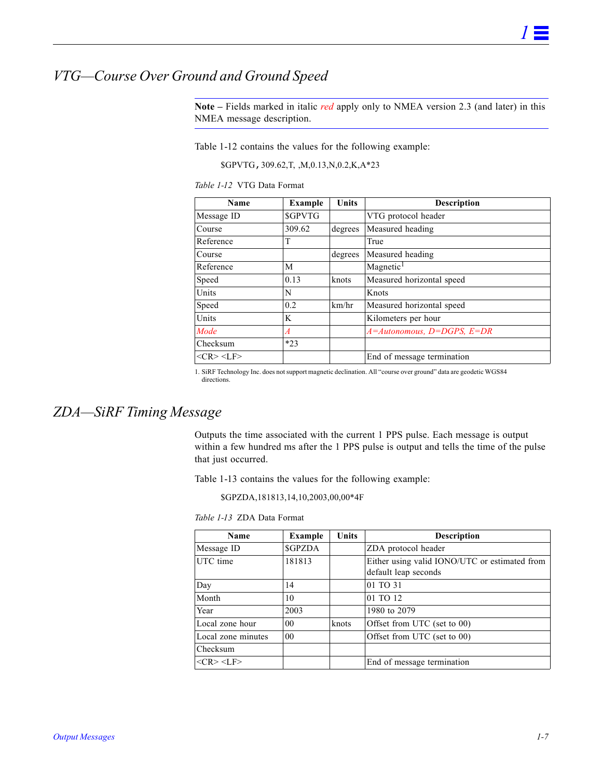## <span id="page-16-2"></span><span id="page-16-0"></span>*VTG—Course Over Ground and Ground Speed*

**Note –** Fields marked in italic *red* apply only to NMEA version 2.3 (and later) in this NMEA message description.

[Table](#page-16-2) 1-12 contains the values for the following example:

\$GPVTG,309.62,T, ,M,0.13,N,0.2,K,A\*23

*Table 1-12* VTG Data Format

| Name               | Example        | <b>Units</b> | <b>Description</b>             |  |
|--------------------|----------------|--------------|--------------------------------|--|
| Message ID         | <b>SGPVTG</b>  |              | VTG protocol header            |  |
| Course             | 309.62         | degrees      | Measured heading               |  |
| Reference          | T              |              | True                           |  |
| Course             |                | degrees      | Measured heading               |  |
| Reference          | M              |              | Magnetic <sup>1</sup>          |  |
| Speed              | 0.13           | knots        | Measured horizontal speed      |  |
| Units              | N              |              | Knots                          |  |
| Speed              | 0.2            | km/hr        | Measured horizontal speed      |  |
| Units              | K              |              | Kilometers per hour            |  |
| Mode               | $\overline{A}$ |              | $A =$ Autonomous, D=DGPS, E=DR |  |
| Checksum           | $*23$          |              |                                |  |
| $ <$ CR> <lf></lf> |                |              | End of message termination     |  |

1. SiRF Technology Inc. does not support magnetic declination. All "course over ground" data are geodetic WGS84 directions.

#### <span id="page-16-3"></span><span id="page-16-1"></span>*ZDA—SiRF Timing Message*

Outputs the time associated with the current 1 PPS pulse. Each message is output within a few hundred ms after the 1 PPS pulse is output and tells the time of the pulse that just occurred.

[Table](#page-16-3) 1-13 contains the values for the following example:

\$GPZDA,181813,14,10,2003,00,00\*4F

*Table 1-13* ZDA Data Format

| <b>Name</b>        | Example         | <b>Units</b> | <b>Description</b>                                                    |  |
|--------------------|-----------------|--------------|-----------------------------------------------------------------------|--|
| Message ID         | <b>SGPZDA</b>   |              | ZDA protocol header                                                   |  |
| UTC time           | 181813          |              | Either using valid IONO/UTC or estimated from<br>default leap seconds |  |
| Day                | 14              |              | 01 TO 31                                                              |  |
| Month              | 10              |              | 01 TO 12                                                              |  |
| Year               | 2003            |              | 1980 to 2079                                                          |  |
| Local zone hour    | 00 <sup>2</sup> | knots        | Offset from UTC (set to 00)                                           |  |
| Local zone minutes | 00              |              | Offset from UTC (set to 00)                                           |  |
| Checksum           |                 |              |                                                                       |  |
| $<$ CR> $<$ LF>    |                 |              | End of message termination                                            |  |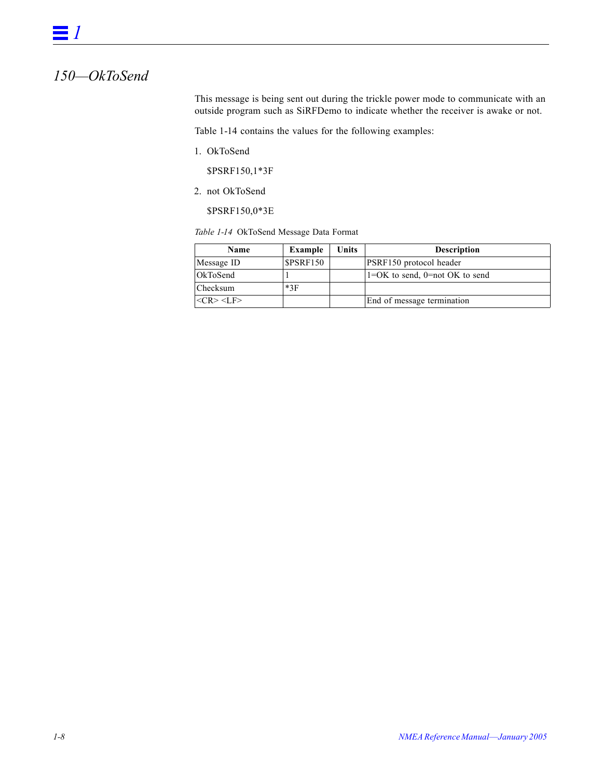## <span id="page-17-0"></span>*150—OkToSend*

This message is being sent out during the trickle power mode to communicate with an outside program such as SiRFDemo to indicate whether the receiver is awake or not.

[Table](#page-17-1) 1-14 contains the values for the following examples:

1. OkToSend

\$PSRF150,1\*3F

2. not OkToSend

\$PSRF150,0\*3E

<span id="page-17-1"></span>*Table 1-14* OkToSend Message Data Format

| <b>Name</b>     | Example   | Units | <b>Description</b>                   |
|-----------------|-----------|-------|--------------------------------------|
| Message ID      | \$PSRF150 |       | PSRF150 protocol header              |
| <b>OkToSend</b> |           |       | $1=OK$ to send, $0=not \ OK$ to send |
| <b>Checksum</b> | $*3F$     |       |                                      |
| $<$ CR> $<$ LF> |           |       | End of message termination           |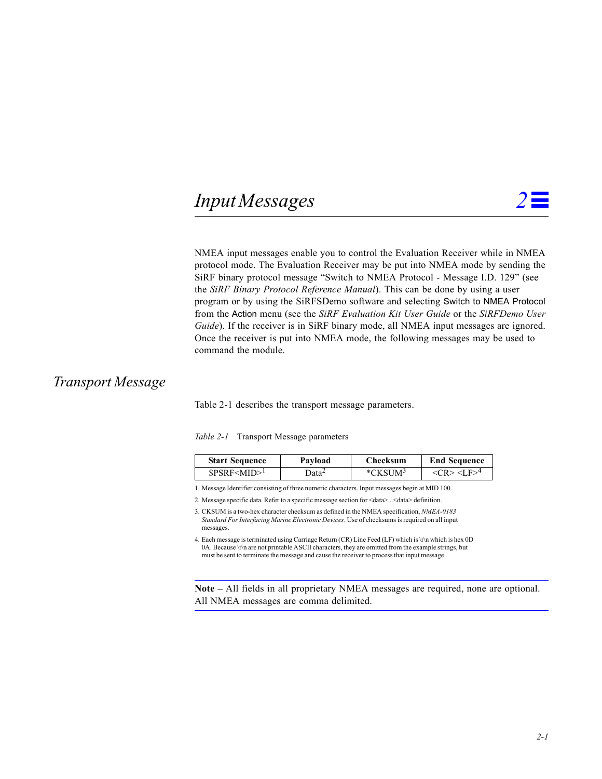# <span id="page-18-3"></span><span id="page-18-0"></span> $Input Message$

NMEA input messages enable you to control the Evaluation Receiver while in NMEA protocol mode. The Evaluation Receiver may be put into NMEA mode by sending the SiRF binary protocol message "Switch to NMEA Protocol - Message I.D. 129" (see the *SiRF Binary Protocol Reference Manual*). This can be done by using a user program or by using the SiRFSDemo software and selecting Switch to NMEA Protocol from the Action menu (see the *SiRF Evaluation Kit User Guide* or the *SiRFDemo User Guide*). If the receiver is in SiRF binary mode, all NMEA input messages are ignored. Once the receiver is put into NMEA mode, the following messages may be used to command the module.

### <span id="page-18-2"></span><span id="page-18-1"></span>*Transport Message*

[Table](#page-18-2) 2-1 describes the transport message parameters.

|  |  |  | Table 2-1 Transport Message parameters |
|--|--|--|----------------------------------------|
|--|--|--|----------------------------------------|

| <b>Start Sequence</b> | Pavload           | Checksum            | <b>End Sequence</b>                        |
|-----------------------|-------------------|---------------------|--------------------------------------------|
| SPSRF < MID > 1       | ⊃ata <sup>∠</sup> | *CKSUM <sup>3</sup> | $\langle CR \rangle \langle I.F \rangle^4$ |

1. Message Identifier consisting of three numeric characters. Input messages begin at MID 100.

2. Message specific data. Refer to a specific message section for <data>...<data> definition.

3. CKSUM is a two-hex character checksum as defined in the NMEA specification, *NMEA-0183 Standard For Interfacing Marine Electronic Devices*. Use of checksums is required on all input messages.

4. Each message is terminated using Carriage Return (CR) Line Feed (LF) which is \r\n which is hex 0D 0A. Because \r\n are not printable ASCII characters, they are omitted from the example strings, but must be sent to terminate the message and cause the receiver to process that input message.

**Note –** All fields in all proprietary NMEA messages are required, none are optional. All NMEA messages are comma delimited.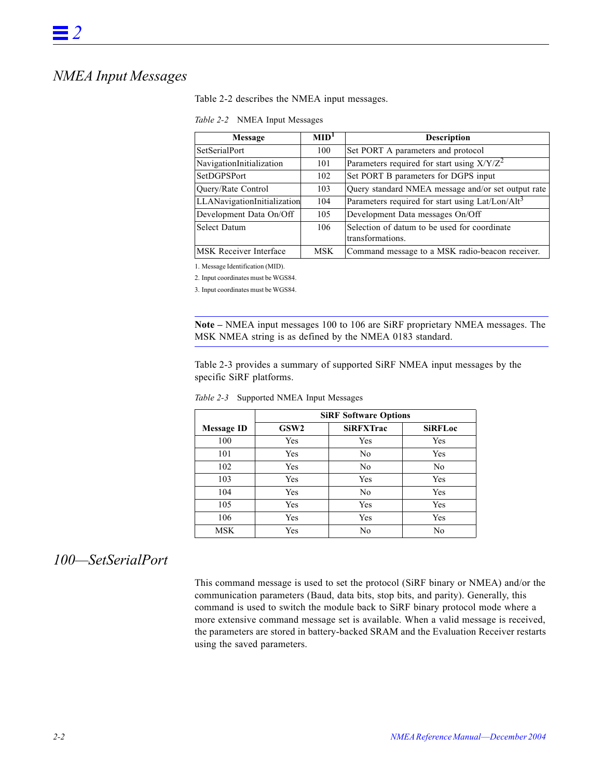# <span id="page-19-2"></span><span id="page-19-0"></span>*NMEA Input Messages*

[Table](#page-19-2) 2-2 describes the NMEA input messages.

| Message                       | $\text{MID}^1$ | <b>Description</b>                                           |
|-------------------------------|----------------|--------------------------------------------------------------|
| <b>SetSerialPort</b>          | 100            | Set PORT A parameters and protocol                           |
| NavigationInitialization      | 101            | Parameters required for start using $X/Y/Z^2$                |
| SetDGPSPort                   | 102            | Set PORT B parameters for DGPS input                         |
| Query/Rate Control            | 103            | Query standard NMEA message and/or set output rate           |
| LLANavigationInitialization   | 104            | Parameters required for start using Lat/Lon/Alt <sup>3</sup> |
| Development Data On/Off       | 105            | Development Data messages On/Off                             |
| <b>Select Datum</b>           | 106            | Selection of datum to be used for coordinate                 |
|                               |                | transformations.                                             |
| <b>MSK</b> Receiver Interface | <b>MSK</b>     | Command message to a MSK radio-beacon receiver.              |

1. Message Identification (MID).

2. Input coordinates must be WGS84.

3. Input coordinates must be WGS84.

**Note –** NMEA input messages 100 to 106 are SiRF proprietary NMEA messages. The MSK NMEA string is as defined by the NMEA 0183 standard.

[Table](#page-19-3) 2-3 provides a summary of supported SiRF NMEA input messages by the specific SiRF platforms.

|            | <b>SiRF Software Options</b> |                  |                |  |  |
|------------|------------------------------|------------------|----------------|--|--|
| Message ID | GSW <sub>2</sub>             | <b>SiRFXTrac</b> | <b>SiRFLoc</b> |  |  |
| 100        | Yes                          | Yes              | Yes            |  |  |
| 101        | Yes                          | No               | Yes            |  |  |
| 102        | Yes                          | No               | N <sub>0</sub> |  |  |
| 103        | Yes                          | Yes              | Yes            |  |  |
| 104        | Yes                          | No               | Yes            |  |  |
| 105        | Yes                          | Yes              | Yes            |  |  |
| 106        | Yes                          | Yes              | Yes            |  |  |
| MSK        | Yes                          | No               | No             |  |  |

<span id="page-19-3"></span>*Table 2-3* Supported NMEA Input Messages

### <span id="page-19-1"></span>*100—SetSerialPort*

This command message is used to set the protocol (SiRF binary or NMEA) and/or the communication parameters (Baud, data bits, stop bits, and parity). Generally, this command is used to switch the module back to SiRF binary protocol mode where a more extensive command message set is available. When a valid message is received, the parameters are stored in battery-backed SRAM and the Evaluation Receiver restarts using the saved parameters.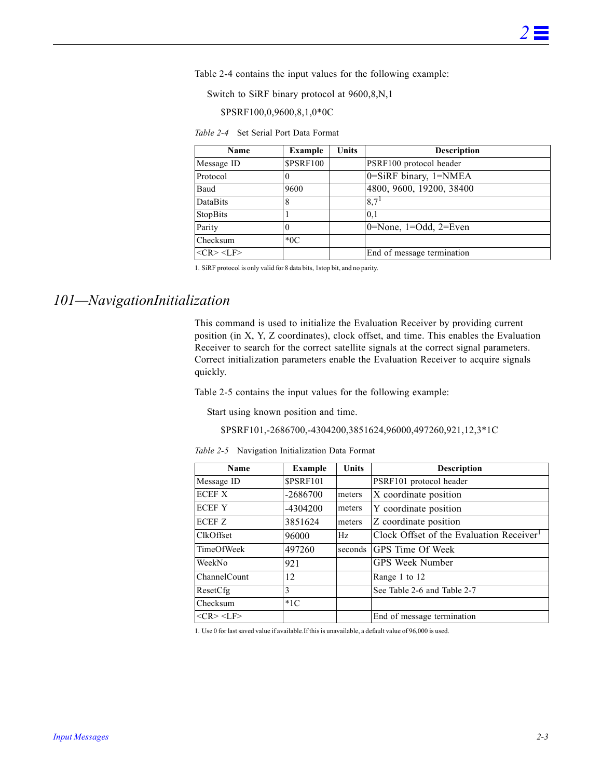[Table](#page-20-1) 2-4 contains the input values for the following example:

Switch to SiRF binary protocol at 9600,8,N,1

\$PSRF100,0,9600,8,1,0\*0C

*Table 2-4* Set Serial Port Data Format

<span id="page-20-1"></span>

| <b>Name</b>     | Example          | <b>Units</b> | <b>Description</b>                  |
|-----------------|------------------|--------------|-------------------------------------|
| Message ID      | <b>\$PSRF100</b> |              | PSRF100 protocol header             |
| Protocol        |                  |              | 0=SiRF binary, 1=NMEA               |
| Baud            | 9600             |              | 4800, 9600, 19200, 38400            |
| DataBits        | 8                |              | 8,7 <sup>1</sup>                    |
| StopBits        |                  |              | 0.1                                 |
| Parity          | 0                |              | $0 = None$ , $1 = Odd$ , $2 = Even$ |
| Checksum        | $*0C$            |              |                                     |
| $<$ CR> $<$ LF> |                  |              | End of message termination          |

1. SiRF protocol is only valid for 8 data bits, 1stop bit, and no parity.

## <span id="page-20-0"></span>*101—NavigationInitialization*

This command is used to initialize the Evaluation Receiver by providing current position (in X, Y, Z coordinates), clock offset, and time. This enables the Evaluation Receiver to search for the correct satellite signals at the correct signal parameters. Correct initialization parameters enable the Evaluation Receiver to acquire signals quickly.

[Table](#page-20-2) 2-5 contains the input values for the following example:

Start using known position and time.

#### \$PSRF101,-2686700,-4304200,3851624,96000,497260,921,12,3\*1C

*Table 2-5* Navigation Initialization Data Format

<span id="page-20-2"></span>

| Name              | <b>Example</b>   | Units  | <b>Description</b>                                   |
|-------------------|------------------|--------|------------------------------------------------------|
| Message ID        | <b>\$PSRF101</b> |        | PSRF101 protocol header                              |
| <b>ECEF X</b>     | $-2686700$       | meters | X coordinate position                                |
| <b>ECEFY</b>      | $-4304200$       | meters | Y coordinate position                                |
| ECEF <sub>Z</sub> | 3851624          | meters | Z coordinate position                                |
| <b>ClkOffset</b>  | 96000            | Hz     | Clock Offset of the Evaluation Receiver <sup>1</sup> |
| TimeOfWeek        | 497260           |        | seconds GPS Time Of Week                             |
| WeekNo            | 921              |        | <b>GPS Week Number</b>                               |
| ChannelCount      | 12               |        | Range 1 to 12                                        |
| ResetCfg          | 3                |        | See Table 2-6 and Table 2-7                          |
| Checksum          | $*1C$            |        |                                                      |
| $<$ CR> $<$ LF>   |                  |        | End of message termination                           |

1. Use 0 for last saved value if available.If this is unavailable, a default value of 96,000 is used.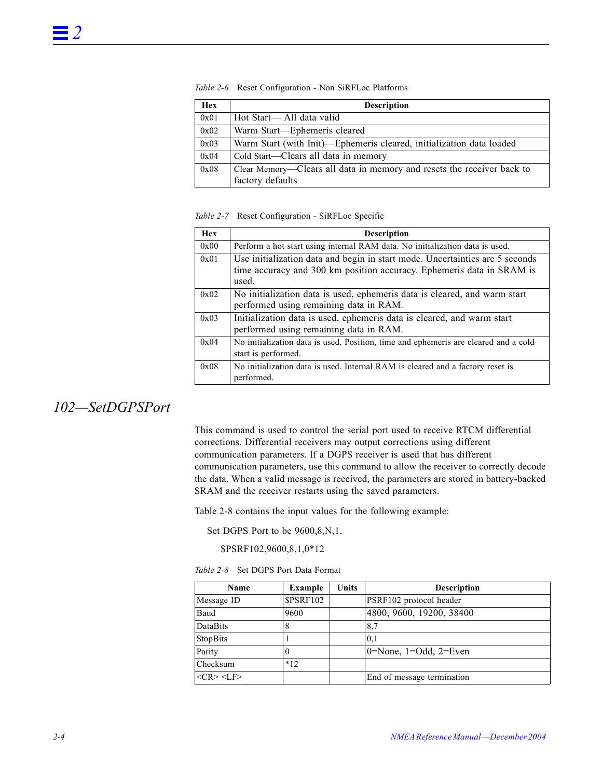| <b>Hex</b> | <b>Description</b>                                                     |
|------------|------------------------------------------------------------------------|
| 0x01       | Hot Start— All data valid                                              |
| 0x02       | Warm Start-Ephemeris cleared                                           |
| 0x03       | Warm Start (with Init)—Ephemeris cleared, initialization data loaded   |
| 0x04       | Cold Start—Clears all data in memory                                   |
| 0x08       | Clear Memory—Clears all data in memory and resets the receiver back to |
|            | factory defaults                                                       |

<span id="page-21-1"></span>*Table 2-6* Reset Configuration - Non SiRFLoc Platforms

#### <span id="page-21-2"></span>*Table 2-7* Reset Configuration - SiRFLoc Specific

| <b>Hex</b> | <b>Description</b>                                                                                                                                             |
|------------|----------------------------------------------------------------------------------------------------------------------------------------------------------------|
| 0x00       | Perform a hot start using internal RAM data. No initialization data is used.                                                                                   |
| 0x01       | Use initialization data and begin in start mode. Uncertainties are 5 seconds<br>time accuracy and 300 km position accuracy. Ephemeris data in SRAM is<br>used. |
| 0x02       | No initialization data is used, ephemeris data is cleared, and warm start<br>performed using remaining data in RAM.                                            |
| 0x03       | Initialization data is used, ephemeris data is cleared, and warm start<br>performed using remaining data in RAM.                                               |
| 0x04       | No initialization data is used. Position, time and ephemeris are cleared and a cold<br>start is performed.                                                     |
| 0x08       | No initialization data is used. Internal RAM is cleared and a factory reset is<br>performed.                                                                   |

### <span id="page-21-0"></span>*102—SetDGPSPort*

This command is used to control the serial port used to receive RTCM differential corrections. Differential receivers may output corrections using different communication parameters. If a DGPS receiver is used that has different communication parameters, use this command to allow the receiver to correctly decode the data. When a valid message is received, the parameters are stored in battery-backed SRAM and the receiver restarts using the saved parameters.

[Table](#page-21-3) 2-8 contains the input values for the following example:

Set DGPS Port to be  $9600, 8, N, 1$ .

\$PSRF102,9600,8,1,0\*12

*Table 2-8* Set DGPS Port Data Format

<span id="page-21-3"></span>

| Name                  | <b>Example</b>   | Units | <b>Description</b>                  |
|-----------------------|------------------|-------|-------------------------------------|
| Message ID            | <b>\$PSRF102</b> |       | PSRF102 protocol header             |
| Baud                  | 9600             |       | 4800, 9600, 19200, 38400            |
| DataBits              | 8                |       | 8.7                                 |
| StopBits              |                  |       | 0,1                                 |
| Parity                |                  |       | $0 = None$ , $1 = Odd$ , $2 = Even$ |
| Checksum              | $*12$            |       |                                     |
| $<<$ R $>$ $<$ L $F>$ |                  |       | End of message termination          |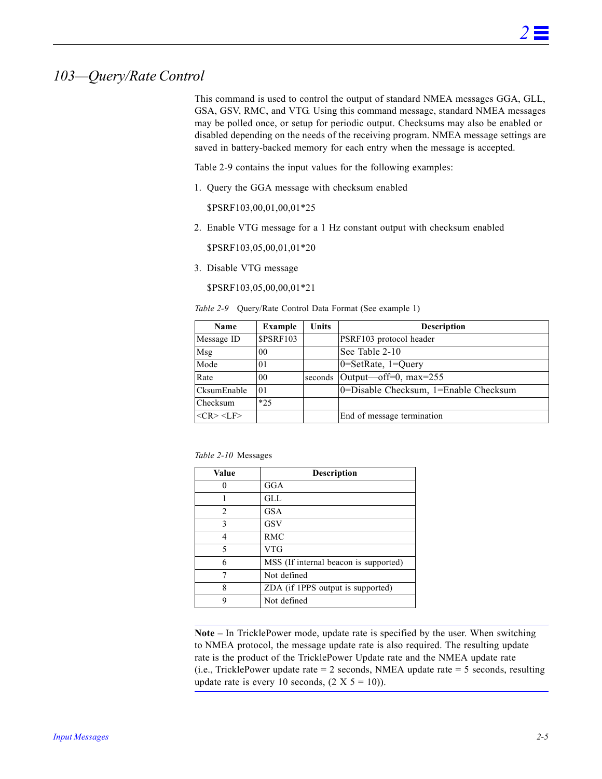### <span id="page-22-0"></span>*103—Query/Rate Control*

This command is used to control the output of standard NMEA messages GGA, GLL, GSA, GSV, RMC, and VTG. Using this command message, standard NMEA messages may be polled once, or setup for periodic output. Checksums may also be enabled or disabled depending on the needs of the receiving program. NMEA message settings are saved in battery-backed memory for each entry when the message is accepted.

[Table](#page-22-1) 2-9 contains the input values for the following examples:

1. Query the GGA message with checksum enabled

\$PSRF103,00,01,00,01\*25

2. Enable VTG message for a 1 Hz constant output with checksum enabled

\$PSRF103,05,00,01,01\*20

3. Disable VTG message

\$PSRF103,05,00,00,01\*21

*Table 2-9* Query/Rate Control Data Format (See example 1)

<span id="page-22-1"></span>

| Name            | Example          | Units   | <b>Description</b>                    |
|-----------------|------------------|---------|---------------------------------------|
| Message ID      | <b>\$PSRF103</b> |         | PSRF103 protocol header               |
| Msg             | 00               |         | See Table 2-10                        |
| Mode            | 0 <sub>1</sub>   |         | $0 = SetRate$ , $1 = Query$           |
| Rate            | 0 <sub>0</sub>   | seconds | Output—off=0, $max=255$               |
| CksumEnable     | 0 <sub>1</sub>   |         | 0=Disable Checksum, 1=Enable Checksum |
| Checksum        | $*25$            |         |                                       |
| $<$ CR> $<$ LF> |                  |         | End of message termination            |

<span id="page-22-2"></span>

| Value          | Description                           |
|----------------|---------------------------------------|
|                | GGA                                   |
|                | GLL.                                  |
| $\mathfrak{D}$ | <b>GSA</b>                            |
| 3              | <b>GSV</b>                            |
|                | <b>RMC</b>                            |
| 5              | <b>VTG</b>                            |
| 6              | MSS (If internal beacon is supported) |
|                | Not defined                           |
| 8              | ZDA (if 1PPS output is supported)     |
|                | Not defined                           |

**Note –** In TricklePower mode, update rate is specified by the user. When switching to NMEA protocol, the message update rate is also required. The resulting update rate is the product of the TricklePower Update rate and the NMEA update rate (i.e., TricklePower update rate  $= 2$  seconds, NMEA update rate  $= 5$  seconds, resulting update rate is every 10 seconds,  $(2 \text{ X } 5 = 10)$ ).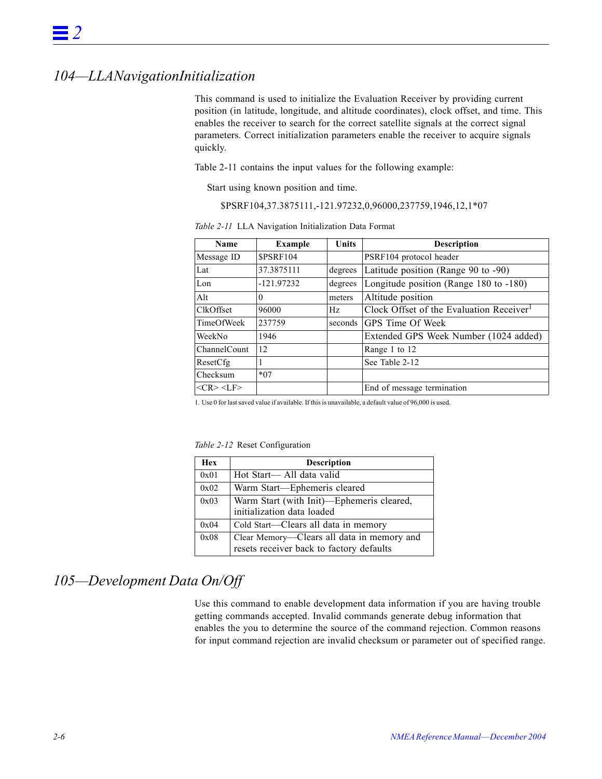### <span id="page-23-0"></span>*104—LLANavigationInitialization*

This command is used to initialize the Evaluation Receiver by providing current position (in latitude, longitude, and altitude coordinates), clock offset, and time. This enables the receiver to search for the correct satellite signals at the correct signal parameters. Correct initialization parameters enable the receiver to acquire signals quickly.

[Table](#page-23-2) 2-11 contains the input values for the following example:

Start using known position and time.

\$PSRF104,37.3875111,-121.97232,0,96000,237759,1946,12,1\*07

<span id="page-23-2"></span>

| Name             | <b>Example</b>  | <b>Units</b> | <b>Description</b>                                   |
|------------------|-----------------|--------------|------------------------------------------------------|
| Message ID       | <b>SPSRF104</b> |              | PSRF104 protocol header                              |
| Lat              | 37.3875111      | degrees      | Latitude position (Range 90 to -90)                  |
| Lon              | $-121.97232$    | degrees      | Longitude position (Range 180 to -180)               |
| Alt              | $\theta$        | meters       | Altitude position                                    |
| <b>ClkOffset</b> | 96000           | Hz.          | Clock Offset of the Evaluation Receiver <sup>1</sup> |
| TimeOfWeek       | 237759          | seconds      | <b>GPS</b> Time Of Week                              |
| WeekNo           | 1946            |              | Extended GPS Week Number (1024 added)                |
| ChannelCount     | 12              |              | Range 1 to 12                                        |
| ResetCfg         |                 |              | See Table 2-12                                       |
| Checksum         | $*07$           |              |                                                      |
| $<$ CR> $<$ LF>  |                 |              | End of message termination                           |

*Table 2-11* LLA Navigation Initialization Data Format

1. Use 0 for last saved value if available. If this is unavailable, a default value of 96,000 is used.

*Table 2-12* Reset Configuration

| <b>Hex</b> | <b>Description</b>                         |
|------------|--------------------------------------------|
| 0x01       | Hot Start— All data valid                  |
| 0x02       | Warm Start-Ephemeris cleared               |
| 0x03       | Warm Start (with Init)—Ephemeris cleared,  |
|            | initialization data loaded                 |
| 0x04       | Cold Start—Clears all data in memory       |
| 0x08       | Clear Memory-Clears all data in memory and |
|            | resets receiver back to factory defaults   |

### <span id="page-23-3"></span><span id="page-23-1"></span>*105—Development Data On/Off*

Use this command to enable development data information if you are having trouble getting commands accepted. Invalid commands generate debug information that enables the you to determine the source of the command rejection. Common reasons for input command rejection are invalid checksum or parameter out of specified range.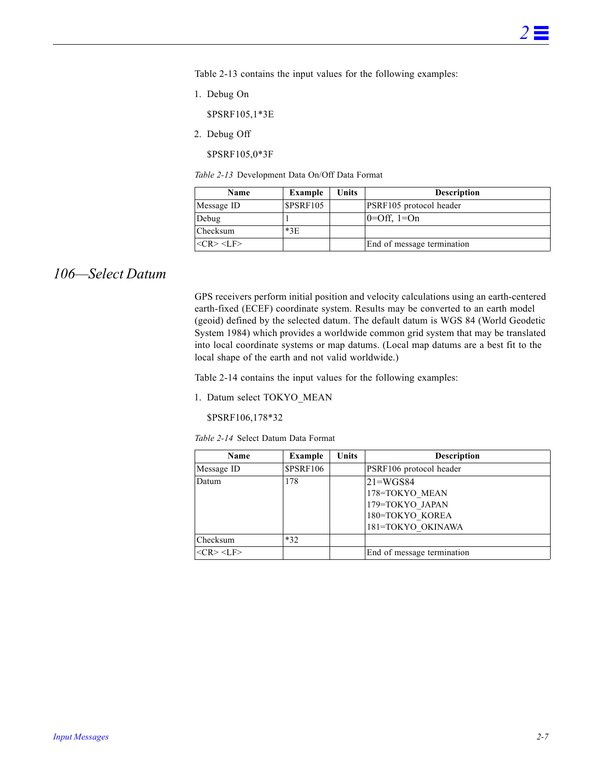[Table](#page-24-1) 2-13 contains the input values for the following examples:

1. Debug On

\$PSRF105,1\*3E

2. Debug Off

\$PSRF105,0\*3F

*Table 2-13* Development Data On/Off Data Format

| Name              | Example          | Units | <b>Description</b>         |
|-------------------|------------------|-------|----------------------------|
| Message ID        | <b>\$PSRF105</b> |       | PSRF105 protocol header    |
| Debug             |                  |       | $ 0=Off, 1=On$             |
| Checksum          | $*3E$            |       |                            |
| $<$ CR> <lf></lf> |                  |       | End of message termination |

### <span id="page-24-1"></span><span id="page-24-0"></span>*106—Select Datum*

GPS receivers perform initial position and velocity calculations using an earth-centered earth-fixed (ECEF) coordinate system. Results may be converted to an earth model (geoid) defined by the selected datum. The default datum is WGS 84 (World Geodetic System 1984) which provides a worldwide common grid system that may be translated into local coordinate systems or map datums. (Local map datums are a best fit to the local shape of the earth and not valid worldwide.)

[Table](#page-24-2) 2-14 contains the input values for the following examples:

1. Datum select TOKYO\_MEAN

\$PSRF106,178\*32

*Table 2-14* Select Datum Data Format

<span id="page-24-2"></span>

| Name            | Example          | Units | <b>Description</b>         |
|-----------------|------------------|-------|----------------------------|
| Message ID      | <b>\$PSRF106</b> |       | PSRF106 protocol header    |
| Datum           | 178              |       | $21 = WGS84$               |
|                 |                  |       | 178=TOKYO MEAN             |
|                 |                  |       | 179=TOKYO JAPAN            |
|                 |                  |       | 180=TOKYO KOREA            |
|                 |                  |       | 181=TOKYO OKINAWA          |
| Checksum        | $*32$            |       |                            |
| $<$ CR> $<$ LF> |                  |       | End of message termination |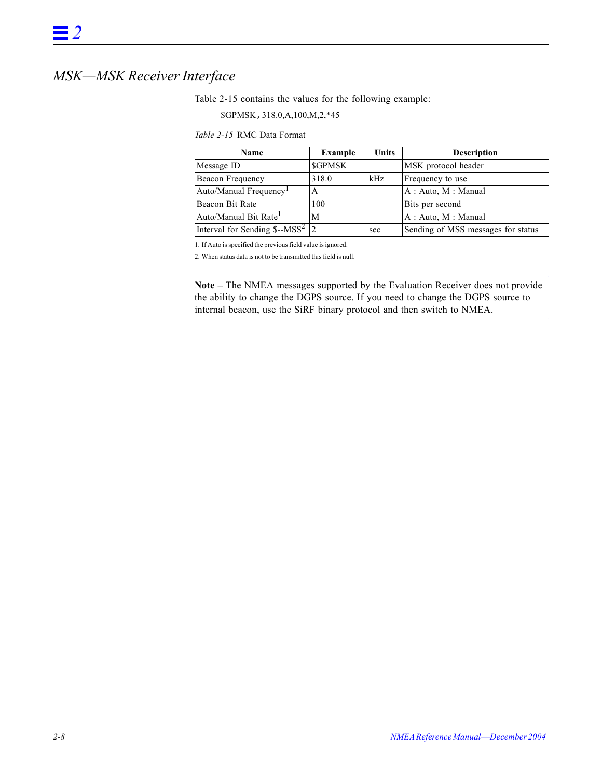# <span id="page-25-2"></span><span id="page-25-1"></span><span id="page-25-0"></span>*MSK—MSK Receiver Interface*

[Table](#page-25-1) 2-15 contains the values for the following example:

\$GPMSK,318.0,A,100,M,2,\*45

#### *Table 2-15* RMC Data Format

| <b>Name</b>                                            | <b>Example</b> | Units | <b>Description</b>                 |
|--------------------------------------------------------|----------------|-------|------------------------------------|
| Message ID                                             | <b>\$GPMSK</b> |       | MSK protocol header                |
| Beacon Frequency                                       | 318.0          | kHz   | Frequency to use                   |
| Auto/Manual Frequency <sup>1</sup>                     | A              |       | A: Auto, M: Manual                 |
| Beacon Bit Rate                                        | 100            |       | Bits per second                    |
| Auto/Manual Bit Rate <sup>1</sup>                      | M              |       | A: Auto, M: Manual                 |
| Interval for Sending $\frac{1}{2}$ -MSS <sup>2</sup> 2 |                | sec   | Sending of MSS messages for status |

1. If Auto is specified the previous field value is ignored.

2. When status data is not to be transmitted this field is null.

**Note –** The NMEA messages supported by the Evaluation Receiver does not provide the ability to change the DGPS source. If you need to change the DGPS source to internal beacon, use the SiRF binary protocol and then switch to NMEA.